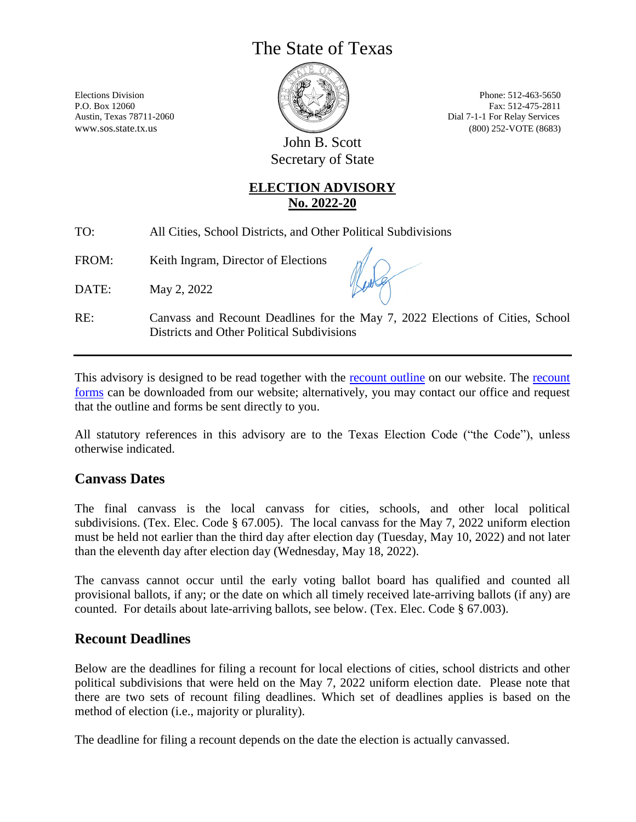# The State of Texas

Elections Division **Phone:** 512-463-5650 P.O. Box 12060 Fax: 512-475-2811 Austin, Texas 78711-2060 **Dial 7-1-1** For Relay Services www.sos.state.tx.us (800) 252-VOTE (8683)

> John B. Scott Secretary of State

### **ELECTION ADVISORY No. 2022-20**

TO: All Cities, School Districts, and Other Political Subdivisions

FROM: Keith Ingram, Director of Elections

DATE: May 2, 2022

RE: Canvass and Recount Deadlines for the May 7, 2022 Elections of Cities, School Districts and Other Political Subdivisions

This advisory is designed to be read together with the [recount outline](http://www.sos.state.tx.us/elections/laws/recounts.shtml) on our website. The [recount](https://www.sos.texas.gov/elections/forms/pol-sub/index.shtml#photo-id)  [forms](https://www.sos.texas.gov/elections/forms/pol-sub/index.shtml#photo-id) can be downloaded from our website; alternatively, you may contact our office and request that the outline and forms be sent directly to you.

All statutory references in this advisory are to the Texas Election Code ("the Code"), unless otherwise indicated.

### **Canvass Dates**

The final canvass is the local canvass for cities, schools, and other local political subdivisions. (Tex. Elec. Code § 67.005). The local canvass for the May 7, 2022 uniform election must be held not earlier than the third day after election day (Tuesday, May 10, 2022) and not later than the eleventh day after election day (Wednesday, May 18, 2022).

The canvass cannot occur until the early voting ballot board has qualified and counted all provisional ballots, if any; or the date on which all timely received late-arriving ballots (if any) are counted. For details about late-arriving ballots, see below. (Tex. Elec. Code § 67.003).

### **Recount Deadlines**

Below are the deadlines for filing a recount for local elections of cities, school districts and other political subdivisions that were held on the May 7, 2022 uniform election date. Please note that there are two sets of recount filing deadlines. Which set of deadlines applies is based on the method of election (i.e., majority or plurality).

The deadline for filing a recount depends on the date the election is actually canvassed.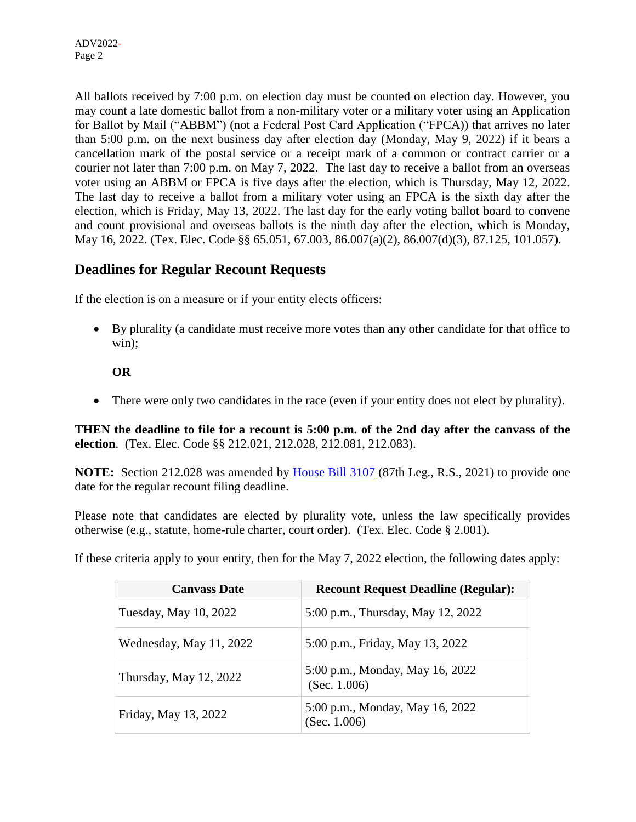All ballots received by 7:00 p.m. on election day must be counted on election day. However, you may count a late domestic ballot from a non-military voter or a military voter using an Application for Ballot by Mail ("ABBM") (not a Federal Post Card Application ("FPCA)) that arrives no later than 5:00 p.m. on the next business day after election day (Monday, May 9, 2022) if it bears a cancellation mark of the postal service or a receipt mark of a common or contract carrier or a courier not later than 7:00 p.m. on May 7, 2022. The last day to receive a ballot from an overseas voter using an ABBM or FPCA is five days after the election, which is Thursday, May 12, 2022. The last day to receive a ballot from a military voter using an FPCA is the sixth day after the election, which is Friday, May 13, 2022. The last day for the early voting ballot board to convene and count provisional and overseas ballots is the ninth day after the election, which is Monday, May 16, 2022. (Tex. Elec. Code §§ 65.051, 67.003, 86.007(a)(2), 86.007(d)(3), 87.125, 101.057).

# **Deadlines for Regular Recount Requests**

If the election is on a measure or if your entity elects officers:

 By plurality (a candidate must receive more votes than any other candidate for that office to win);

### **OR**

• There were only two candidates in the race (even if your entity does not elect by plurality).

**THEN the deadline to file for a recount is 5:00 p.m. of the 2nd day after the canvass of the election**. (Tex. Elec. Code §§ 212.021, 212.028, 212.081, 212.083).

**NOTE:** Section 212.028 was amended by [House Bill 3107](https://capitol.texas.gov/BillLookup/History.aspx?LegSess=87R&Bill=HB3107) (87th Leg., R.S., 2021) to provide one date for the regular recount filing deadline.

Please note that candidates are elected by plurality vote, unless the law specifically provides otherwise (e.g., statute, home-rule charter, court order). (Tex. Elec. Code § 2.001).

If these criteria apply to your entity, then for the May 7, 2022 election, the following dates apply:

| <b>Canvass Date</b>     | <b>Recount Request Deadline (Regular):</b>      |
|-------------------------|-------------------------------------------------|
| Tuesday, May 10, 2022   | 5:00 p.m., Thursday, May 12, 2022               |
| Wednesday, May 11, 2022 | 5:00 p.m., Friday, May 13, 2022                 |
| Thursday, May 12, 2022  | 5:00 p.m., Monday, May 16, 2022<br>(Sec. 1.006) |
| Friday, May 13, 2022    | 5:00 p.m., Monday, May 16, 2022<br>(Sec. 1.006) |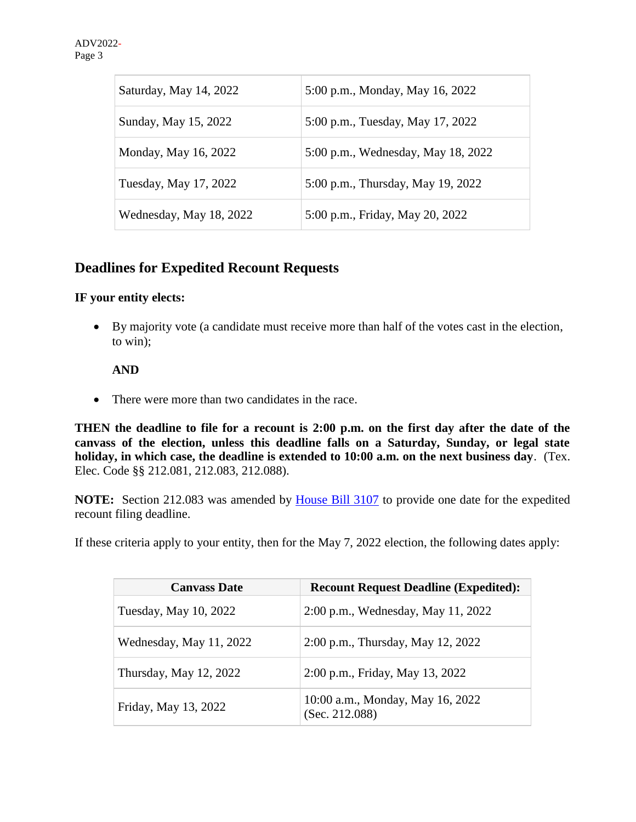| Saturday, May 14, 2022  | 5:00 p.m., Monday, May 16, 2022    |
|-------------------------|------------------------------------|
| Sunday, May 15, 2022    | 5:00 p.m., Tuesday, May 17, 2022   |
| Monday, May 16, 2022    | 5:00 p.m., Wednesday, May 18, 2022 |
| Tuesday, May 17, 2022   | 5:00 p.m., Thursday, May 19, 2022  |
| Wednesday, May 18, 2022 | 5:00 p.m., Friday, May 20, 2022    |

## **Deadlines for Expedited Recount Requests**

#### **IF your entity elects:**

 By majority vote (a candidate must receive more than half of the votes cast in the election, to win);

#### **AND**

• There were more than two candidates in the race.

**THEN the deadline to file for a recount is 2:00 p.m. on the first day after the date of the canvass of the election, unless this deadline falls on a Saturday, Sunday, or legal state holiday, in which case, the deadline is extended to 10:00 a.m. on the next business day**. (Tex. Elec. Code §§ 212.081, 212.083, 212.088).

**NOTE:** Section 212.083 was amended by [House Bill 3107](https://capitol.texas.gov/BillLookup/History.aspx?LegSess=87R&Bill=HB3107) to provide one date for the expedited recount filing deadline.

If these criteria apply to your entity, then for the May 7, 2022 election, the following dates apply:

| <b>Canvass Date</b>     | <b>Recount Request Deadline (Expedited):</b>       |
|-------------------------|----------------------------------------------------|
| Tuesday, May 10, 2022   | 2:00 p.m., Wednesday, May 11, 2022                 |
| Wednesday, May 11, 2022 | 2:00 p.m., Thursday, May 12, 2022                  |
| Thursday, May 12, 2022  | 2:00 p.m., Friday, May 13, 2022                    |
| Friday, May 13, 2022    | 10:00 a.m., Monday, May 16, 2022<br>(Sec. 212.088) |